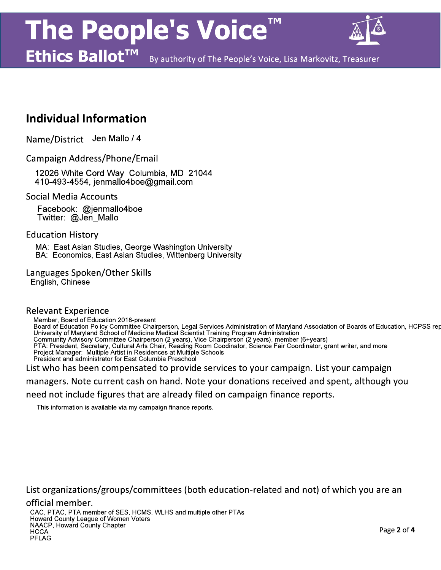# **The People's Voice**



By authority of The People's Voice, Lisa Markovitz, Treasurer

### Individual Information

Ethics Ballot™

Name/District Jen Mallo / 4

Campaign Address/Phone/Email

12026 White Cord Way Columbia, MD 21044 410-493-4554, jenmallo4boe@gmail.com

Social Media Accounts

Facebook: @jenmallo4boe Twitter: @Jen Mallo

#### **Education History**

MA: East Asian Studies, George Washington University BA: Economics, East Asian Studies, Wittenberg University

Languages Spoken/Other Skills English, Chinese

#### **Relevant Experience**

Member, Board of Education 2018-present<br>
Member, Board of Education Policy Committee Chairperson, Legal Services Administration of Maryland Association of Boards of Education, HCPSS rep<br>
Board of Education Policy Committee

List who has been compensated to provide services to your campaign. List your campaign

managers. Note current cash on hand. Note your donations received and spent, although you

need not include figures that are already filed on campaign finance reports.

This information is available via my campaign finance reports.

List organizations/groups/committees (both education-related and not) of which you are an

#### official member.

CAC, PTAC, PTA member of SES, HCMS, WLHS and multiple other PTAs Howard County League of Women Voters NAACP, Howard County Chapter **HCCA** PFLAG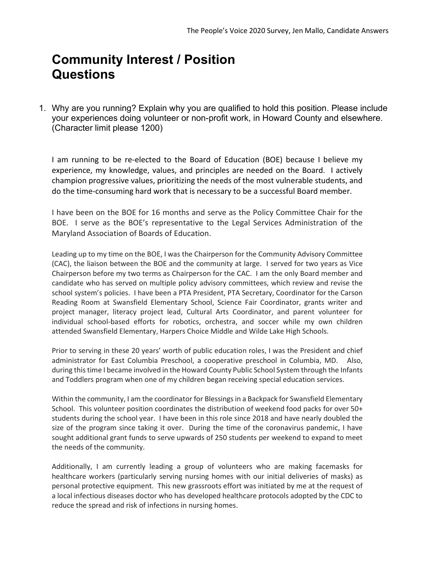## Community Interest / Position **Questions**

1. Why are you running? Explain why you are qualified to hold this position. Please include your experiences doing volunteer or non-profit work, in Howard County and elsewhere. (Character limit please 1200)

I am running to be re-elected to the Board of Education (BOE) because I believe my experience, my knowledge, values, and principles are needed on the Board. I actively champion progressive values, prioritizing the needs of the most vulnerable students, and do the time-consuming hard work that is necessary to be a successful Board member.

I have been on the BOE for 16 months and serve as the Policy Committee Chair for the BOE. I serve as the BOE's representative to the Legal Services Administration of the Maryland Association of Boards of Education.

Leading up to my time on the BOE, I was the Chairperson for the Community Advisory Committee (CAC), the liaison between the BOE and the community at large. I served for two years as Vice Chairperson before my two terms as Chairperson for the CAC. I am the only Board member and candidate who has served on multiple policy advisory committees, which review and revise the school system's policies. I have been a PTA President, PTA Secretary, Coordinator for the Carson Reading Room at Swansfield Elementary School, Science Fair Coordinator, grants writer and project manager, literacy project lead, Cultural Arts Coordinator, and parent volunteer for individual school-based efforts for robotics, orchestra, and soccer while my own children attended Swansfield Elementary, Harpers Choice Middle and Wilde Lake High Schools.

Prior to serving in these 20 years' worth of public education roles, I was the President and chief administrator for East Columbia Preschool, a cooperative preschool in Columbia, MD. Also, during this time I became involved in the Howard County Public School System through the Infants and Toddlers program when one of my children began receiving special education services.

Within the community, I am the coordinator for Blessings in a Backpack for Swansfield Elementary School. This volunteer position coordinates the distribution of weekend food packs for over 50+ students during the school year. I have been in this role since 2018 and have nearly doubled the size of the program since taking it over. During the time of the coronavirus pandemic, I have sought additional grant funds to serve upwards of 250 students per weekend to expand to meet the needs of the community.

Additionally, I am currently leading a group of volunteers who are making facemasks for healthcare workers (particularly serving nursing homes with our initial deliveries of masks) as personal protective equipment. This new grassroots effort was initiated by me at the request of a local infectious diseases doctor who has developed healthcare protocols adopted by the CDC to reduce the spread and risk of infections in nursing homes.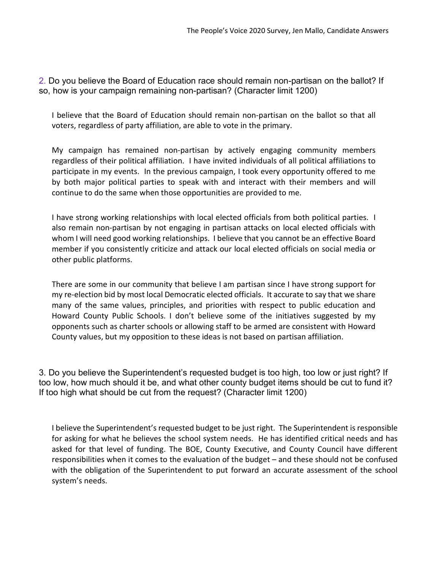2. Do you believe the Board of Education race should remain non-partisan on the ballot? If so, how is your campaign remaining non-partisan? (Character limit 1200)

I believe that the Board of Education should remain non-partisan on the ballot so that all voters, regardless of party affiliation, are able to vote in the primary.

My campaign has remained non-partisan by actively engaging community members regardless of their political affiliation. I have invited individuals of all political affiliations to participate in my events. In the previous campaign, I took every opportunity offered to me by both major political parties to speak with and interact with their members and will continue to do the same when those opportunities are provided to me.

I have strong working relationships with local elected officials from both political parties. I also remain non-partisan by not engaging in partisan attacks on local elected officials with whom I will need good working relationships. I believe that you cannot be an effective Board member if you consistently criticize and attack our local elected officials on social media or other public platforms.

There are some in our community that believe I am partisan since I have strong support for my re-election bid by most local Democratic elected officials. It accurate to say that we share many of the same values, principles, and priorities with respect to public education and Howard County Public Schools. I don't believe some of the initiatives suggested by my opponents such as charter schools or allowing staff to be armed are consistent with Howard County values, but my opposition to these ideas is not based on partisan affiliation.

3. Do you believe the Superintendent's requested budget is too high, too low or just right? If too low, how much should it be, and what other county budget items should be cut to fund it? If too high what should be cut from the request? (Character limit 1200)

I believe the Superintendent's requested budget to be just right. The Superintendent is responsible for asking for what he believes the school system needs. He has identified critical needs and has asked for that level of funding. The BOE, County Executive, and County Council have different responsibilities when it comes to the evaluation of the budget – and these should not be confused with the obligation of the Superintendent to put forward an accurate assessment of the school system's needs.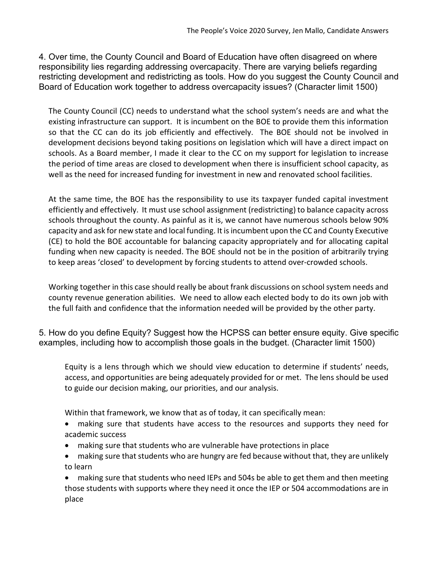4. Over time, the County Council and Board of Education have often disagreed on where responsibility lies regarding addressing overcapacity. There are varying beliefs regarding restricting development and redistricting as tools. How do you suggest the County Council and Board of Education work together to address overcapacity issues? (Character limit 1500)

The County Council (CC) needs to understand what the school system's needs are and what the existing infrastructure can support. It is incumbent on the BOE to provide them this information so that the CC can do its job efficiently and effectively. The BOE should not be involved in development decisions beyond taking positions on legislation which will have a direct impact on schools. As a Board member, I made it clear to the CC on my support for legislation to increase the period of time areas are closed to development when there is insufficient school capacity, as well as the need for increased funding for investment in new and renovated school facilities.

At the same time, the BOE has the responsibility to use its taxpayer funded capital investment efficiently and effectively. It must use school assignment (redistricting) to balance capacity across schools throughout the county. As painful as it is, we cannot have numerous schools below 90% capacity and ask for new state and local funding. It is incumbent upon the CC and County Executive (CE) to hold the BOE accountable for balancing capacity appropriately and for allocating capital funding when new capacity is needed. The BOE should not be in the position of arbitrarily trying to keep areas 'closed' to development by forcing students to attend over-crowded schools.

Working together in this case should really be about frank discussions on school system needs and county revenue generation abilities. We need to allow each elected body to do its own job with the full faith and confidence that the information needed will be provided by the other party.

5. How do you define Equity? Suggest how the HCPSS can better ensure equity. Give specific examples, including how to accomplish those goals in the budget. (Character limit 1500)

Equity is a lens through which we should view education to determine if students' needs, access, and opportunities are being adequately provided for or met. The lens should be used to guide our decision making, our priorities, and our analysis.

Within that framework, we know that as of today, it can specifically mean:

- making sure that students have access to the resources and supports they need for academic success
- making sure that students who are vulnerable have protections in place
- making sure that students who are hungry are fed because without that, they are unlikely to learn

 making sure that students who need IEPs and 504s be able to get them and then meeting those students with supports where they need it once the IEP or 504 accommodations are in place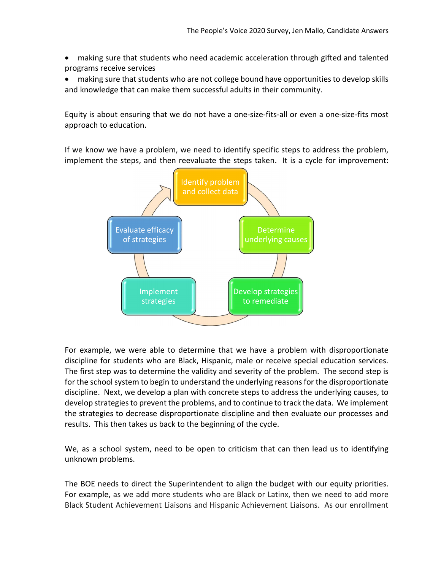- making sure that students who need academic acceleration through gifted and talented programs receive services
- making sure that students who are not college bound have opportunities to develop skills and knowledge that can make them successful adults in their community.

Equity is about ensuring that we do not have a one-size-fits-all or even a one-size-fits most approach to education.

If we know we have a problem, we need to identify specific steps to address the problem, implement the steps, and then reevaluate the steps taken. It is a cycle for improvement:



For example, we were able to determine that we have a problem with disproportionate discipline for students who are Black, Hispanic, male or receive special education services. The first step was to determine the validity and severity of the problem. The second step is for the school system to begin to understand the underlying reasons for the disproportionate discipline. Next, we develop a plan with concrete steps to address the underlying causes, to develop strategies to prevent the problems, and to continue to track the data. We implement the strategies to decrease disproportionate discipline and then evaluate our processes and results. This then takes us back to the beginning of the cycle.

We, as a school system, need to be open to criticism that can then lead us to identifying unknown problems.

The BOE needs to direct the Superintendent to align the budget with our equity priorities. For example, as we add more students who are Black or Latinx, then we need to add more Black Student Achievement Liaisons and Hispanic Achievement Liaisons. As our enrollment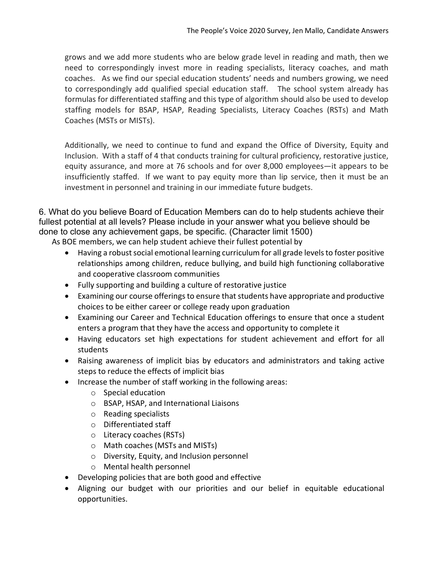grows and we add more students who are below grade level in reading and math, then we need to correspondingly invest more in reading specialists, literacy coaches, and math coaches. As we find our special education students' needs and numbers growing, we need to correspondingly add qualified special education staff. The school system already has formulas for differentiated staffing and this type of algorithm should also be used to develop staffing models for BSAP, HSAP, Reading Specialists, Literacy Coaches (RSTs) and Math Coaches (MSTs or MISTs).

Additionally, we need to continue to fund and expand the Office of Diversity, Equity and Inclusion. With a staff of 4 that conducts training for cultural proficiency, restorative justice, equity assurance, and more at 76 schools and for over 8,000 employees—it appears to be insufficiently staffed. If we want to pay equity more than lip service, then it must be an investment in personnel and training in our immediate future budgets.

6. What do you believe Board of Education Members can do to help students achieve their fullest potential at all levels? Please include in your answer what you believe should be done to close any achievement gaps, be specific. (Character limit 1500)

As BOE members, we can help student achieve their fullest potential by

- Having a robust social emotional learning curriculum for all grade levels to foster positive relationships among children, reduce bullying, and build high functioning collaborative and cooperative classroom communities
- Fully supporting and building a culture of restorative justice
- Examining our course offerings to ensure that students have appropriate and productive choices to be either career or college ready upon graduation
- Examining our Career and Technical Education offerings to ensure that once a student enters a program that they have the access and opportunity to complete it
- Having educators set high expectations for student achievement and effort for all students
- Raising awareness of implicit bias by educators and administrators and taking active steps to reduce the effects of implicit bias
- Increase the number of staff working in the following areas:
	- o Special education
	- o BSAP, HSAP, and International Liaisons
	- o Reading specialists
	- o Differentiated staff
	- o Literacy coaches (RSTs)
	- o Math coaches (MSTs and MISTs)
	- o Diversity, Equity, and Inclusion personnel
	- o Mental health personnel
- Developing policies that are both good and effective
- Aligning our budget with our priorities and our belief in equitable educational opportunities.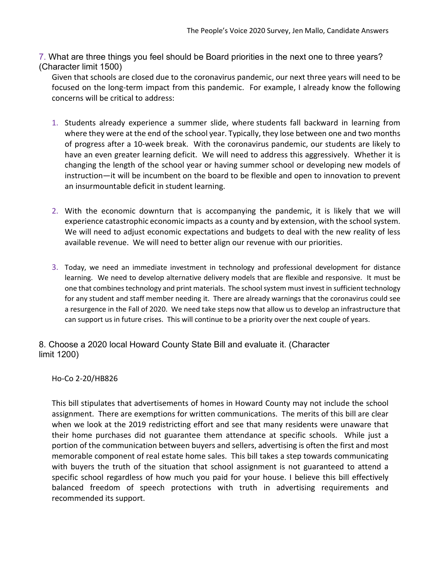7. What are three things you feel should be Board priorities in the next one to three years? (Character limit 1500)

Given that schools are closed due to the coronavirus pandemic, our next three years will need to be focused on the long-term impact from this pandemic. For example, I already know the following concerns will be critical to address:

- 1. Students already experience a summer slide, where students fall backward in learning from where they were at the end of the school year. Typically, they lose between one and two months of progress after a 10-week break. With the coronavirus pandemic, our students are likely to have an even greater learning deficit. We will need to address this aggressively. Whether it is changing the length of the school year or having summer school or developing new models of instruction—it will be incumbent on the board to be flexible and open to innovation to prevent an insurmountable deficit in student learning.
- 2. With the economic downturn that is accompanying the pandemic, it is likely that we will experience catastrophic economic impacts as a county and by extension, with the school system. We will need to adjust economic expectations and budgets to deal with the new reality of less available revenue. We will need to better align our revenue with our priorities.
- 3. Today, we need an immediate investment in technology and professional development for distance learning. We need to develop alternative delivery models that are flexible and responsive. It must be one that combines technology and print materials. The school system must invest in sufficient technology for any student and staff member needing it. There are already warnings that the coronavirus could see a resurgence in the Fall of 2020. We need take steps now that allow us to develop an infrastructure that can support us in future crises. This will continue to be a priority over the next couple of years.

8. Choose a 2020 local Howard County State Bill and evaluate it. (Character limit 1200)

Ho-Co 2-20/HB826

This bill stipulates that advertisements of homes in Howard County may not include the school assignment. There are exemptions for written communications. The merits of this bill are clear when we look at the 2019 redistricting effort and see that many residents were unaware that their home purchases did not guarantee them attendance at specific schools. While just a portion of the communication between buyers and sellers, advertising is often the first and most memorable component of real estate home sales. This bill takes a step towards communicating with buyers the truth of the situation that school assignment is not guaranteed to attend a specific school regardless of how much you paid for your house. I believe this bill effectively balanced freedom of speech protections with truth in advertising requirements and recommended its support.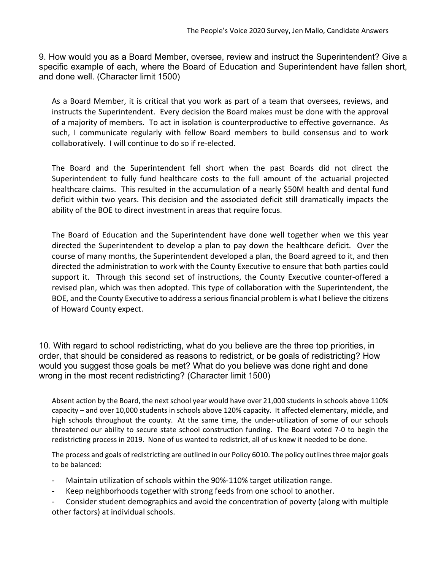9. How would you as a Board Member, oversee, review and instruct the Superintendent? Give a specific example of each, where the Board of Education and Superintendent have fallen short, and done well. (Character limit 1500)

As a Board Member, it is critical that you work as part of a team that oversees, reviews, and instructs the Superintendent. Every decision the Board makes must be done with the approval of a majority of members. To act in isolation is counterproductive to effective governance. As such, I communicate regularly with fellow Board members to build consensus and to work collaboratively. I will continue to do so if re-elected.

The Board and the Superintendent fell short when the past Boards did not direct the Superintendent to fully fund healthcare costs to the full amount of the actuarial projected healthcare claims. This resulted in the accumulation of a nearly \$50M health and dental fund deficit within two years. This decision and the associated deficit still dramatically impacts the ability of the BOE to direct investment in areas that require focus.

The Board of Education and the Superintendent have done well together when we this year directed the Superintendent to develop a plan to pay down the healthcare deficit. Over the course of many months, the Superintendent developed a plan, the Board agreed to it, and then directed the administration to work with the County Executive to ensure that both parties could support it. Through this second set of instructions, the County Executive counter-offered a revised plan, which was then adopted. This type of collaboration with the Superintendent, the BOE, and the County Executive to address a serious financial problem is what I believe the citizens of Howard County expect.

10. With regard to school redistricting, what do you believe are the three top priorities, in order, that should be considered as reasons to redistrict, or be goals of redistricting? How would you suggest those goals be met? What do you believe was done right and done wrong in the most recent redistricting? (Character limit 1500)

Absent action by the Board, the next school year would have over 21,000 students in schools above 110% capacity – and over 10,000 students in schools above 120% capacity. It affected elementary, middle, and high schools throughout the county. At the same time, the under-utilization of some of our schools threatened our ability to secure state school construction funding. The Board voted 7-0 to begin the redistricting process in 2019. None of us wanted to redistrict, all of us knew it needed to be done.

The process and goals of redistricting are outlined in our Policy 6010. The policy outlines three major goals to be balanced:

- Maintain utilization of schools within the 90%-110% target utilization range.
- Keep neighborhoods together with strong feeds from one school to another.
- Consider student demographics and avoid the concentration of poverty (along with multiple other factors) at individual schools.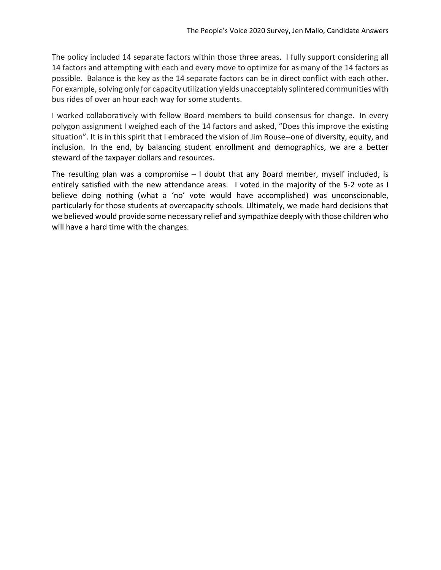The policy included 14 separate factors within those three areas. I fully support considering all 14 factors and attempting with each and every move to optimize for as many of the 14 factors as possible. Balance is the key as the 14 separate factors can be in direct conflict with each other. For example, solving only for capacity utilization yields unacceptably splintered communities with bus rides of over an hour each way for some students.

I worked collaboratively with fellow Board members to build consensus for change. In every polygon assignment I weighed each of the 14 factors and asked, "Does this improve the existing situation". It is in this spirit that I embraced the vision of Jim Rouse--one of diversity, equity, and inclusion. In the end, by balancing student enrollment and demographics, we are a better steward of the taxpayer dollars and resources.

The resulting plan was a compromise  $-1$  doubt that any Board member, myself included, is entirely satisfied with the new attendance areas. I voted in the majority of the 5-2 vote as I believe doing nothing (what a 'no' vote would have accomplished) was unconscionable, particularly for those students at overcapacity schools. Ultimately, we made hard decisions that we believed would provide some necessary relief and sympathize deeply with those children who will have a hard time with the changes.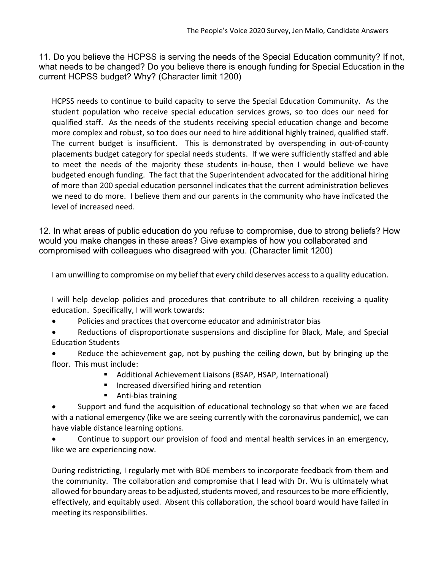11. Do you believe the HCPSS is serving the needs of the Special Education community? If not, what needs to be changed? Do you believe there is enough funding for Special Education in the current HCPSS budget? Why? (Character limit 1200)

HCPSS needs to continue to build capacity to serve the Special Education Community. As the student population who receive special education services grows, so too does our need for qualified staff. As the needs of the students receiving special education change and become more complex and robust, so too does our need to hire additional highly trained, qualified staff. The current budget is insufficient. This is demonstrated by overspending in out-of-county placements budget category for special needs students. If we were sufficiently staffed and able to meet the needs of the majority these students in-house, then I would believe we have budgeted enough funding. The fact that the Superintendent advocated for the additional hiring of more than 200 special education personnel indicates that the current administration believes we need to do more. I believe them and our parents in the community who have indicated the level of increased need.

12. In what areas of public education do you refuse to compromise, due to strong beliefs? How would you make changes in these areas? Give examples of how you collaborated and compromised with colleagues who disagreed with you. (Character limit 1200)

I am unwilling to compromise on my belief that every child deserves access to a quality education.

I will help develop policies and procedures that contribute to all children receiving a quality education. Specifically, I will work towards:

- Policies and practices that overcome educator and administrator bias
- Reductions of disproportionate suspensions and discipline for Black, Male, and Special Education Students
- Reduce the achievement gap, not by pushing the ceiling down, but by bringing up the floor. This must include:
	- Additional Achievement Liaisons (BSAP, HSAP, International)
	- **Increased diversified hiring and retention**
	- **Anti-bias training**

 Support and fund the acquisition of educational technology so that when we are faced with a national emergency (like we are seeing currently with the coronavirus pandemic), we can have viable distance learning options.

 Continue to support our provision of food and mental health services in an emergency, like we are experiencing now.

During redistricting, I regularly met with BOE members to incorporate feedback from them and the community. The collaboration and compromise that I lead with Dr. Wu is ultimately what allowed for boundary areas to be adjusted, students moved, and resources to be more efficiently, effectively, and equitably used. Absent this collaboration, the school board would have failed in meeting its responsibilities.